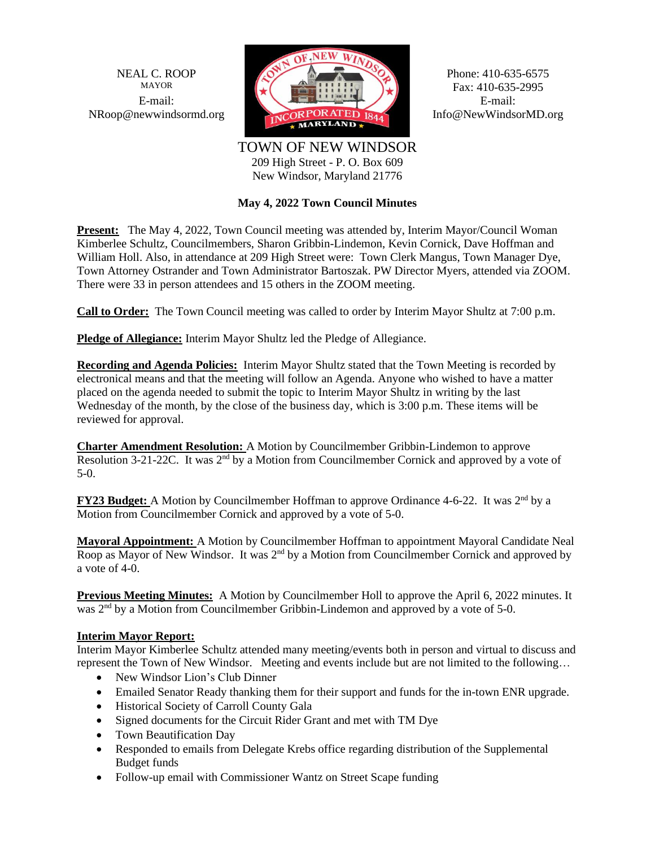

Fax: 410-635-2995

TOWN OF NEW WINDSOR 209 High Street - P. O. Box 609 New Windsor, Maryland 21776

# **May 4, 2022 Town Council Minutes**

**Present:** The May 4, 2022, Town Council meeting was attended by, Interim Mayor/Council Woman Kimberlee Schultz, Councilmembers, Sharon Gribbin-Lindemon, Kevin Cornick, Dave Hoffman and William Holl. Also, in attendance at 209 High Street were: Town Clerk Mangus, Town Manager Dye, Town Attorney Ostrander and Town Administrator Bartoszak. PW Director Myers, attended via ZOOM. There were 33 in person attendees and 15 others in the ZOOM meeting.

**Call to Order:** The Town Council meeting was called to order by Interim Mayor Shultz at 7:00 p.m.

**Pledge of Allegiance:** Interim Mayor Shultz led the Pledge of Allegiance.

**Recording and Agenda Policies:** Interim Mayor Shultz stated that the Town Meeting is recorded by electronical means and that the meeting will follow an Agenda. Anyone who wished to have a matter placed on the agenda needed to submit the topic to Interim Mayor Shultz in writing by the last Wednesday of the month, by the close of the business day, which is 3:00 p.m. These items will be reviewed for approval.

**Charter Amendment Resolution:** A Motion by Councilmember Gribbin-Lindemon to approve Resolution 3-21-22C. It was  $2<sup>nd</sup>$  by a Motion from Councilmember Cornick and approved by a vote of 5-0.

**FY23 Budget:** A Motion by Councilmember Hoffman to approve Ordinance 4-6-22. It was 2nd by a Motion from Councilmember Cornick and approved by a vote of 5-0.

**Mayoral Appointment:** A Motion by Councilmember Hoffman to appointment Mayoral Candidate Neal Roop as Mayor of New Windsor. It was 2<sup>nd</sup> by a Motion from Councilmember Cornick and approved by a vote of 4-0.

**Previous Meeting Minutes:** A Motion by Councilmember Holl to approve the April 6, 2022 minutes. It was 2<sup>nd</sup> by a Motion from Councilmember Gribbin-Lindemon and approved by a vote of 5-0.

# **Interim Mayor Report:**

Interim Mayor Kimberlee Schultz attended many meeting/events both in person and virtual to discuss and represent the Town of New Windsor. Meeting and events include but are not limited to the following…

- New Windsor Lion's Club Dinner
- Emailed Senator Ready thanking them for their support and funds for the in-town ENR upgrade.
- Historical Society of Carroll County Gala
- Signed documents for the Circuit Rider Grant and met with TM Dye
- Town Beautification Day
- Responded to emails from Delegate Krebs office regarding distribution of the Supplemental Budget funds
- Follow-up email with Commissioner Wantz on Street Scape funding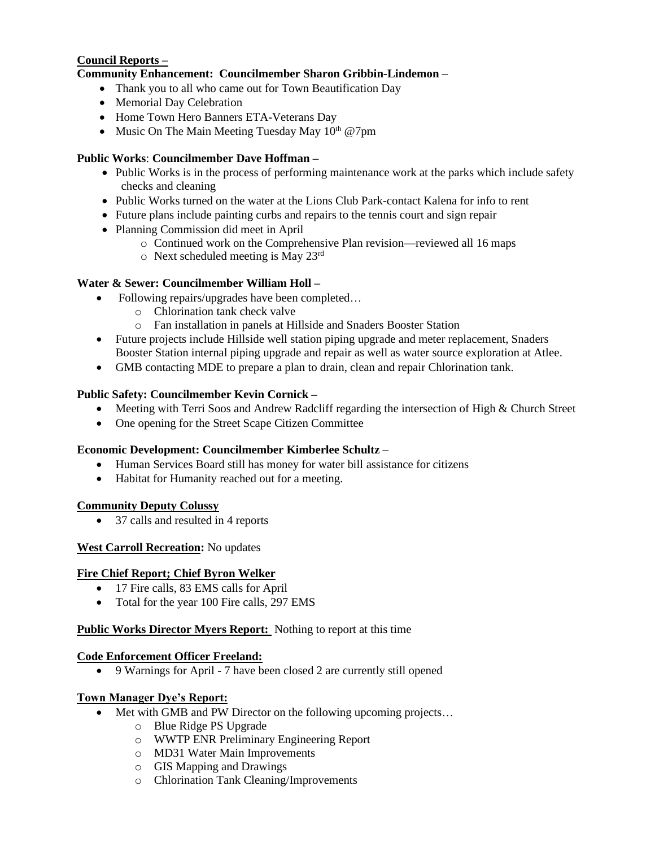# **Council Reports –**

# **Community Enhancement: Councilmember Sharon Gribbin-Lindemon –**

- Thank you to all who came out for Town Beautification Day
- Memorial Day Celebration
- Home Town Hero Banners ETA-Veterans Day
- Music On The Main Meeting Tuesday May  $10^{th} @ 7 \text{pm}$

#### **Public Works**: **Councilmember Dave Hoffman –**

- Public Works is in the process of performing maintenance work at the parks which include safety checks and cleaning
- Public Works turned on the water at the Lions Club Park-contact Kalena for info to rent
- Future plans include painting curbs and repairs to the tennis court and sign repair
- Planning Commission did meet in April
	- o Continued work on the Comprehensive Plan revision—reviewed all 16 maps
		- o Next scheduled meeting is May 23rd

# **Water & Sewer: Councilmember William Holl –**

- Following repairs/upgrades have been completed...
	- o Chlorination tank check valve
	- o Fan installation in panels at Hillside and Snaders Booster Station
- Future projects include Hillside well station piping upgrade and meter replacement, Snaders Booster Station internal piping upgrade and repair as well as water source exploration at Atlee.
- GMB contacting MDE to prepare a plan to drain, clean and repair Chlorination tank.

# **Public Safety: Councilmember Kevin Cornick –**

- Meeting with Terri Soos and Andrew Radcliff regarding the intersection of High & Church Street
- One opening for the Street Scape Citizen Committee

#### **Economic Development: Councilmember Kimberlee Schultz –**

- Human Services Board still has money for water bill assistance for citizens
- Habitat for Humanity reached out for a meeting.

#### **Community Deputy Colussy**

• 37 calls and resulted in 4 reports

#### **West Carroll Recreation:** No updates

#### **Fire Chief Report; Chief Byron Welker**

- 17 Fire calls, 83 EMS calls for April
- Total for the year 100 Fire calls, 297 EMS

#### **Public Works Director Myers Report:** Nothing to report at this time

#### **Code Enforcement Officer Freeland:**

• 9 Warnings for April - 7 have been closed 2 are currently still opened

#### **Town Manager Dye's Report:**

- Met with GMB and PW Director on the following upcoming projects...
	- o Blue Ridge PS Upgrade
	- o WWTP ENR Preliminary Engineering Report
	- o MD31 Water Main Improvements
	- o GIS Mapping and Drawings
	- o Chlorination Tank Cleaning/Improvements